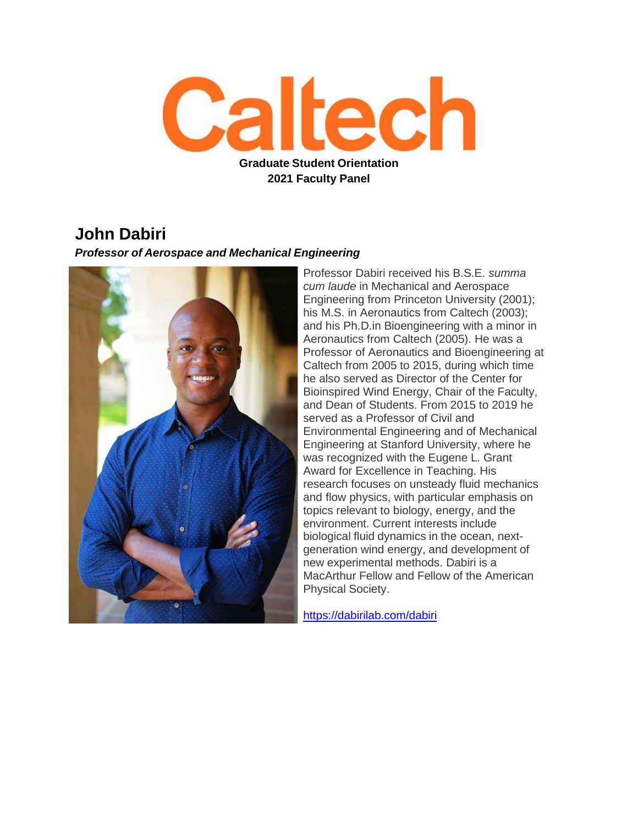

### **John Dabiri**

#### *Professor of Aerospace and Mechanical Engineering*



Professor Dabiri received his B.S.E. *summa cum laude* in Mechanical and Aerospace Engineering from Princeton University (2001); his M.S. in Aeronautics from Caltech (2003); and his Ph.D.in Bioengineering with a minor in Aeronautics from Caltech (2005). He was a Professor of Aeronautics and Bioengineering at Caltech from 2005 to 2015, during which time he also served as Director of the Center for Bioinspired Wind Energy, Chair of the Faculty, and Dean of Students. From 2015 to 2019 he served as a Professor of Civil and Environmental Engineering and of Mechanical Engineering at Stanford University, where he was recognized with the Eugene L. Grant Award for Excellence in Teaching. His research focuses on unsteady fluid mechanics and flow physics, with particular emphasis on topics relevant to biology, energy, and the environment. Current interests include biological fluid dynamics in the ocean, nextgeneration wind energy, and development of new experimental methods. Dabiri is a MacArthur Fellow and Fellow of the American Physical Society.

<https://dabirilab.com/dabiri>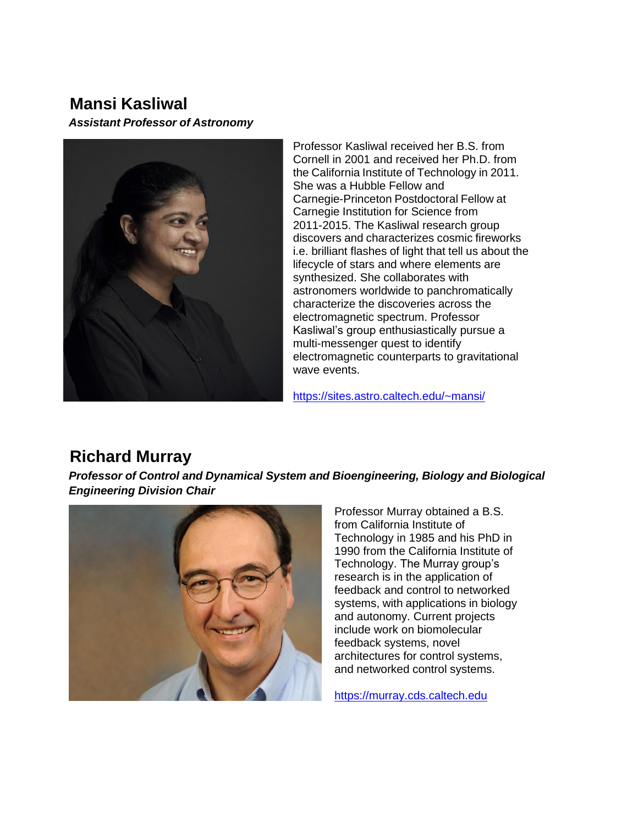## **Mansi Kasliwal**

*Assistant Professor of Astronomy*



Professor Kasliwal received her B.S. from Cornell in 2001 and received her Ph.D. from the California Institute of Technology in 2011. She was a Hubble Fellow and Carnegie-Princeton Postdoctoral Fellow at Carnegie Institution for Science from 2011-2015. The Kasliwal research group discovers and characterizes cosmic fireworks i.e. brilliant flashes of light that tell us about the lifecycle of stars and where elements are synthesized. She collaborates with astronomers worldwide to panchromatically characterize the discoveries across the electromagnetic spectrum. Professor Kasliwal's group enthusiastically pursue a multi-messenger quest to identify electromagnetic counterparts to gravitational wave events.

<https://sites.astro.caltech.edu/~mansi/>

# **Richard Murray**

*Professor of Control and Dynamical System and Bioengineering, Biology and Biological Engineering Division Chair*



Professor Murray obtained a B.S. from California Institute of Technology in 1985 and his PhD in 1990 from the California Institute of Technology. The Murray group's research is in the application of feedback and control to networked systems, with applications in biology and autonomy. Current projects include work on biomolecular feedback systems, novel architectures for control systems, and networked control systems.

[https://murray.cds.caltech.edu](https://murray.cds.caltech.edu/)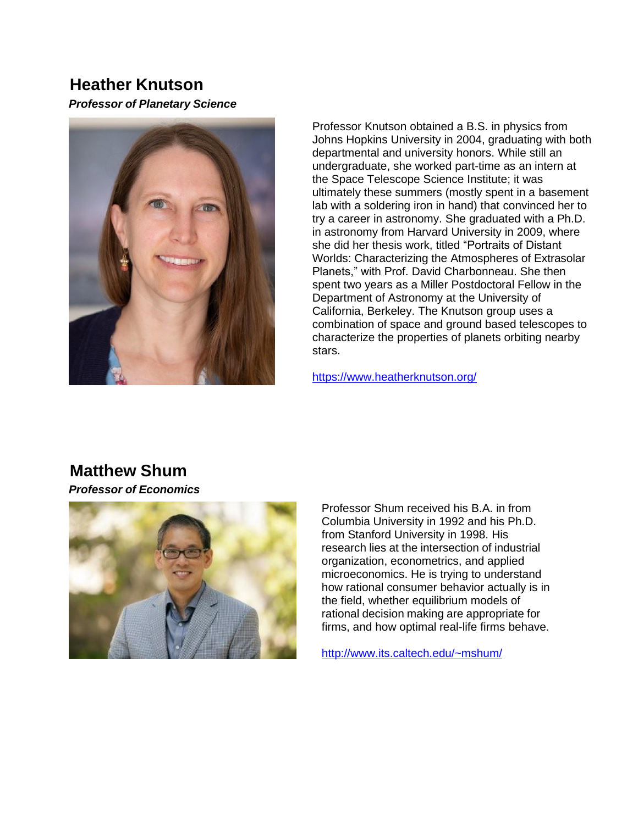## **Heather Knutson**

*Professor of Planetary Science*



Professor Knutson obtained a B.S. in physics from Johns Hopkins University in 2004, graduating with both departmental and university honors. While still an undergraduate, she worked part-time as an intern at the [Space Telescope Science Institute;](http://www.stsci.edu/) it was ultimately these summers (mostly spent in a basement lab with a soldering iron in hand) that convinced her to try a career in astronomy. She graduated with a Ph.D. in astronomy from [Harvard](http://www.harvard.edu/) [University i](http://www.harvard.edu/)n 2009, where she did her thesis work, titled "Portraits of Distant Worlds: Characterizing the Atmospheres of Extrasolar Planets," with Prof. David Charbonneau. She then spent two years as a [Miller](http://millerinstitute.berkeley.edu/) [Postdoctoral Fellow i](http://millerinstitute.berkeley.edu/)n the Department of Astronomy at the [University of](http://www.berkeley.edu/)  [California, Berkeley.](http://www.berkeley.edu/) The Knutson group uses a combination of space and ground based telescopes to characterize the properties of planets orbiting nearby stars.

<https://www.heatherknutson.org/>

## **Matthew Shum**

*Professor of Economics*



Professor Shum received his B.A. in from Columbia University in 1992 and his Ph.D. from Stanford University in 1998. His research lies at the intersection of industrial organization, econometrics, and applied microeconomics. He is trying to understand how rational consumer behavior actually is in the field, whether equilibrium models of rational decision making are appropriate for firms, and how optimal real-life firms behave.

<http://www.its.caltech.edu/~mshum/>